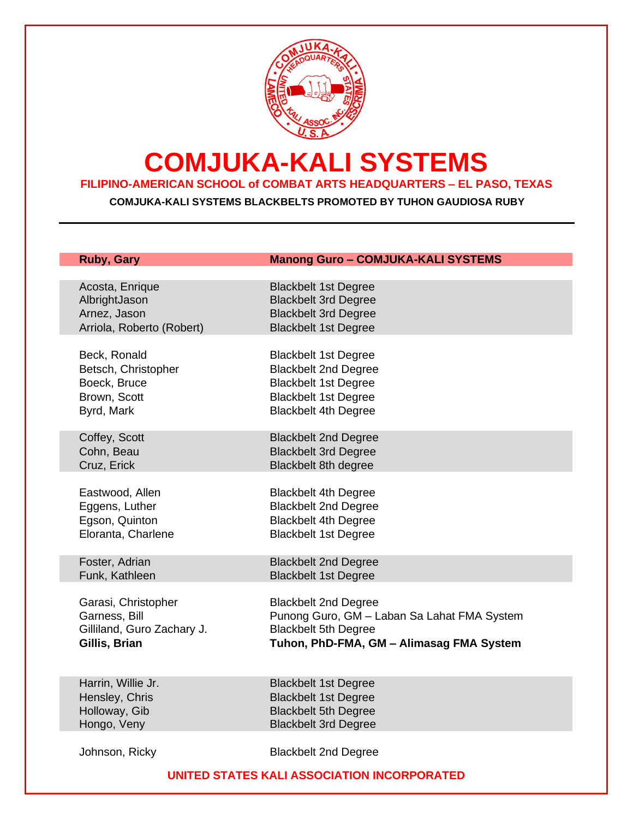

## **COMJUKA-KALI SYSTEMS**

### **FILIPINO-AMERICAN SCHOOL of COMBAT ARTS HEADQUARTERS – EL PASO, TEXAS**

**COMJUKA-KALI SYSTEMS BLACKBELTS PROMOTED BY TUHON GAUDIOSA RUBY**

| <b>Ruby, Gary</b>          | <b>Manong Guro - COMJUKA-KALI SYSTEMS</b>   |
|----------------------------|---------------------------------------------|
| Acosta, Enrique            | <b>Blackbelt 1st Degree</b>                 |
| AlbrightJason              | <b>Blackbelt 3rd Degree</b>                 |
| Arnez, Jason               | <b>Blackbelt 3rd Degree</b>                 |
| Arriola, Roberto (Robert)  | <b>Blackbelt 1st Degree</b>                 |
| Beck, Ronald               | <b>Blackbelt 1st Degree</b>                 |
| Betsch, Christopher        | <b>Blackbelt 2nd Degree</b>                 |
| Boeck, Bruce               | <b>Blackbelt 1st Degree</b>                 |
| Brown, Scott               | <b>Blackbelt 1st Degree</b>                 |
| Byrd, Mark                 | <b>Blackbelt 4th Degree</b>                 |
| Coffey, Scott              | <b>Blackbelt 2nd Degree</b>                 |
| Cohn, Beau                 | <b>Blackbelt 3rd Degree</b>                 |
| Cruz, Erick                | <b>Blackbelt 8th degree</b>                 |
| Eastwood, Allen            | <b>Blackbelt 4th Degree</b>                 |
| Eggens, Luther             | <b>Blackbelt 2nd Degree</b>                 |
| Egson, Quinton             | <b>Blackbelt 4th Degree</b>                 |
| Eloranta, Charlene         | <b>Blackbelt 1st Degree</b>                 |
| Foster, Adrian             | <b>Blackbelt 2nd Degree</b>                 |
| Funk, Kathleen             | <b>Blackbelt 1st Degree</b>                 |
| Garasi, Christopher        | <b>Blackbelt 2nd Degree</b>                 |
| Garness, Bill              | Punong Guro, GM - Laban Sa Lahat FMA System |
| Gilliland, Guro Zachary J. | <b>Blackbelt 5th Degree</b>                 |
| Gillis, Brian              | Tuhon, PhD-FMA, GM - Alimasag FMA System    |
| Harrin, Willie Jr.         | <b>Blackbelt 1st Degree</b>                 |
| Hensley, Chris             | <b>Blackbelt 1st Degree</b>                 |
| Holloway, Gib              | <b>Blackbelt 5th Degree</b>                 |
| Hongo, Veny                | <b>Blackbelt 3rd Degree</b>                 |
| Johnson, Ricky             | <b>Blackbelt 2nd Degree</b>                 |

#### **UNITED STATES KALI ASSOCIATION INCORPORATED**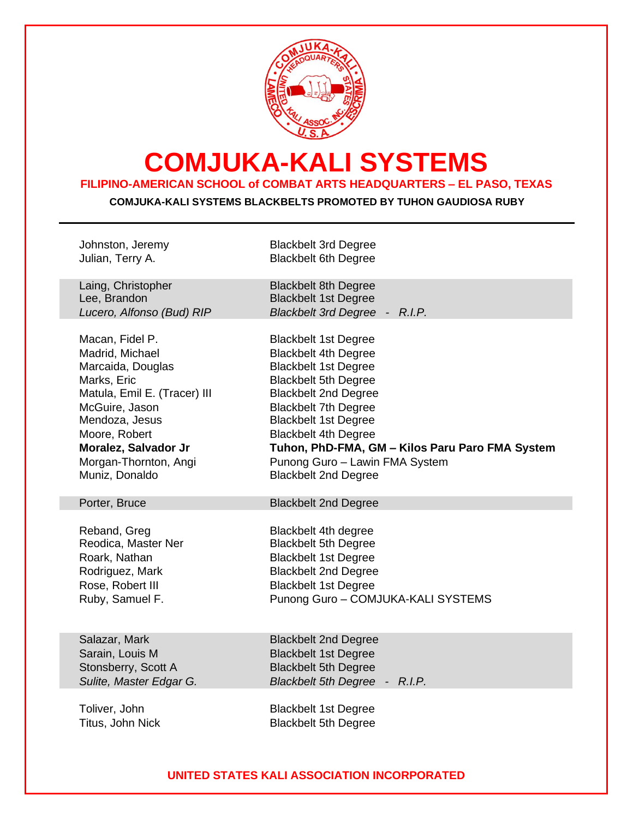

# **COMJUKA-KALI SYSTEMS**

### **FILIPINO-AMERICAN SCHOOL of COMBAT ARTS HEADQUARTERS – EL PASO, TEXAS**

**COMJUKA-KALI SYSTEMS BLACKBELTS PROMOTED BY TUHON GAUDIOSA RUBY**

| Johnston, Jeremy             | <b>Blackbelt 3rd Degree</b>                                |
|------------------------------|------------------------------------------------------------|
| Julian, Terry A.             | <b>Blackbelt 6th Degree</b>                                |
|                              |                                                            |
| Laing, Christopher           | <b>Blackbelt 8th Degree</b>                                |
| Lee, Brandon                 | <b>Blackbelt 1st Degree</b>                                |
| Lucero, Alfonso (Bud) RIP    | Blackbelt 3rd Degree - R.I.P.                              |
|                              |                                                            |
| Macan, Fidel P.              | <b>Blackbelt 1st Degree</b>                                |
| Madrid, Michael              | <b>Blackbelt 4th Degree</b>                                |
| Marcaida, Douglas            | <b>Blackbelt 1st Degree</b>                                |
| Marks, Eric                  | <b>Blackbelt 5th Degree</b>                                |
| Matula, Emil E. (Tracer) III | <b>Blackbelt 2nd Degree</b>                                |
| McGuire, Jason               | <b>Blackbelt 7th Degree</b>                                |
| Mendoza, Jesus               |                                                            |
|                              | <b>Blackbelt 1st Degree</b>                                |
| Moore, Robert                | <b>Blackbelt 4th Degree</b>                                |
| Moralez, Salvador Jr         | Tuhon, PhD-FMA, GM - Kilos Paru Paro FMA System            |
| Morgan-Thornton, Angi        | Punong Guro - Lawin FMA System                             |
| Muniz, Donaldo               | <b>Blackbelt 2nd Degree</b>                                |
|                              |                                                            |
| Porter, Bruce                | <b>Blackbelt 2nd Degree</b>                                |
|                              |                                                            |
| Reband, Greg                 | <b>Blackbelt 4th degree</b>                                |
| Reodica, Master Ner          | <b>Blackbelt 5th Degree</b>                                |
| Roark, Nathan                | <b>Blackbelt 1st Degree</b>                                |
| Rodriguez, Mark              | <b>Blackbelt 2nd Degree</b>                                |
| Rose, Robert III             | <b>Blackbelt 1st Degree</b>                                |
| Ruby, Samuel F.              | Punong Guro - COMJUKA-KALI SYSTEMS                         |
|                              |                                                            |
|                              |                                                            |
| Salazar, Mark                | <b>Blackbelt 2nd Degree</b>                                |
| Sarain, Louis M              | <b>Blackbelt 1st Degree</b>                                |
| Stonsberry, Scott A          | <b>Blackbelt 5th Degree</b>                                |
| Sulite, Master Edgar G.      | Blackbelt 5th Degree - R.I.P.                              |
|                              |                                                            |
| Toliver, John                |                                                            |
|                              |                                                            |
| Titus, John Nick             | <b>Blackbelt 1st Degree</b><br><b>Blackbelt 5th Degree</b> |

#### **UNITED STATES KALI ASSOCIATION INCORPORATED**